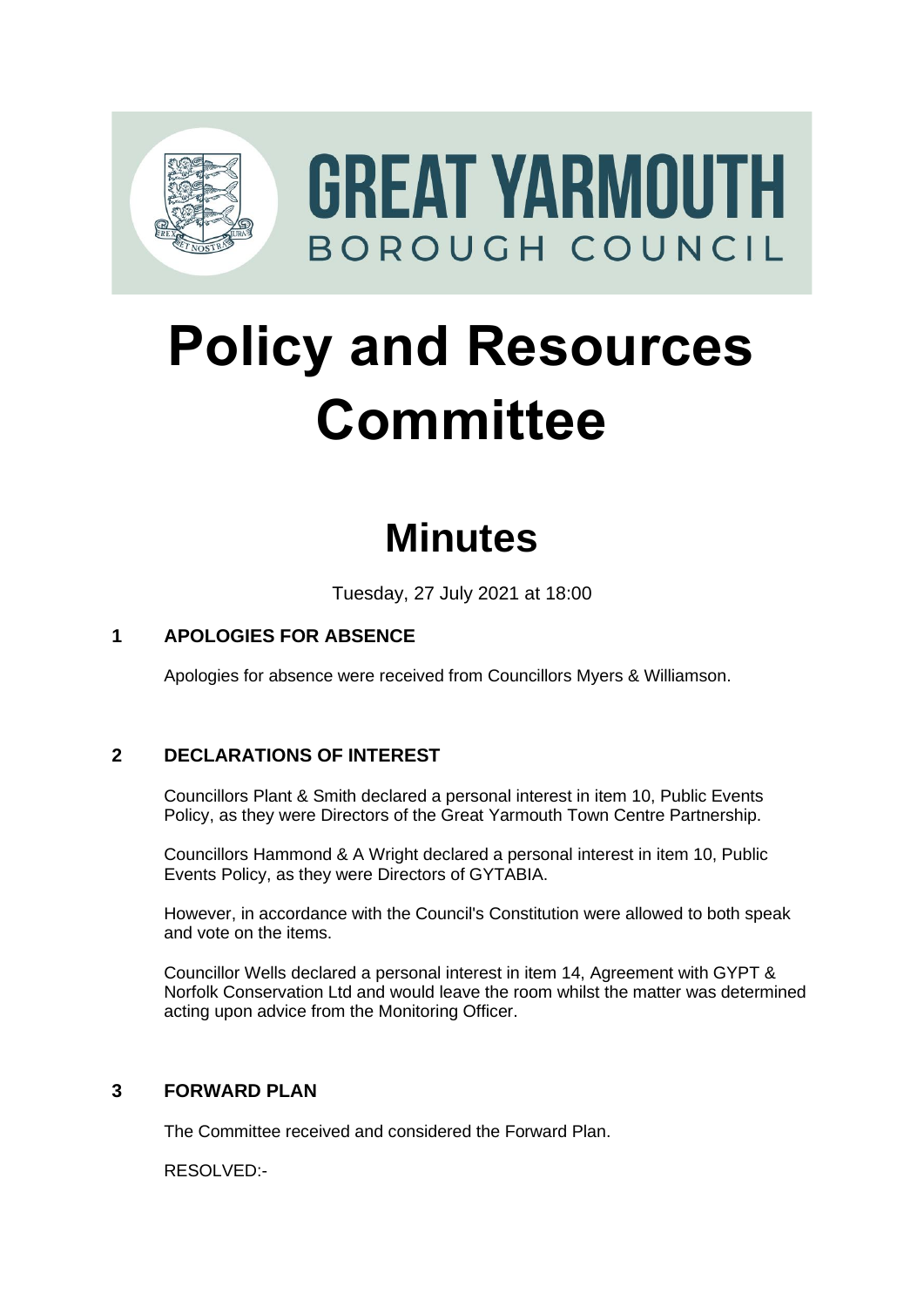

# **Policy and Resources Committee**

# **Minutes**

Tuesday, 27 July 2021 at 18:00

# **1 APOLOGIES FOR ABSENCE**

Apologies for absence were received from Councillors Myers & Williamson.

## **2 DECLARATIONS OF INTEREST** 2

Councillors Plant & Smith declared a personal interest in item 10, Public Events Policy, as they were Directors of the Great Yarmouth Town Centre Partnership.

Councillors Hammond & A Wright declared a personal interest in item 10, Public Events Policy, as they were Directors of GYTABIA.

However, in accordance with the Council's Constitution were allowed to both speak and vote on the items.

Councillor Wells declared a personal interest in item 14, Agreement with GYPT & Norfolk Conservation Ltd and would leave the room whilst the matter was determined acting upon advice from the Monitoring Officer.

### **3 FORWARD PLAN** 3

The Committee received and considered the Forward Plan.

RESOLVED:-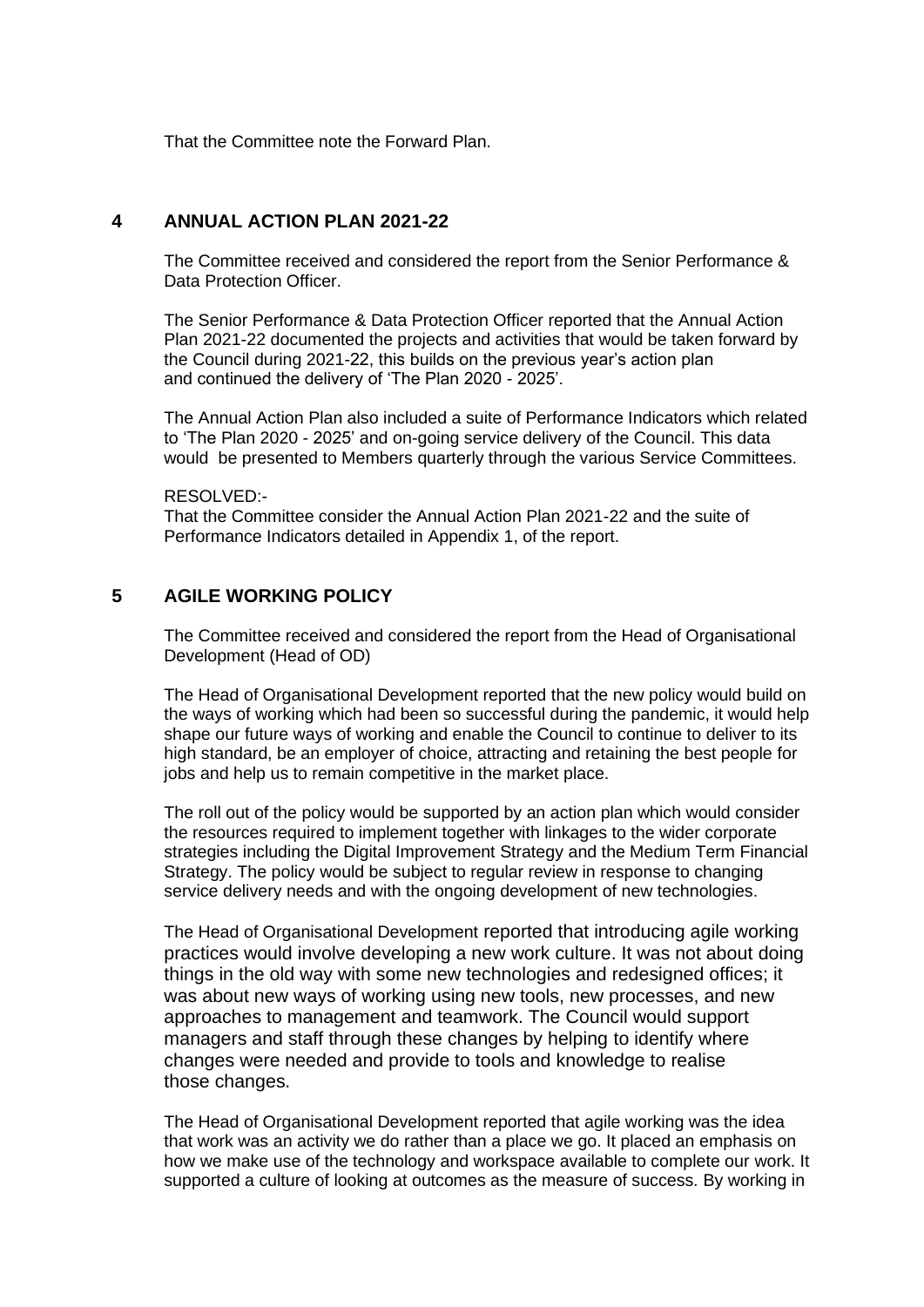That the Committee note the Forward Plan.

### **4 ANNUAL ACTION PLAN 2021-22** 4

The Committee received and considered the report from the Senior Performance & Data Protection Officer.

The Senior Performance & Data Protection Officer reported that the Annual Action Plan 2021-22 documented the projects and activities that would be taken forward by the Council during 2021-22, this builds on the previous year's action plan and continued the delivery of 'The Plan 2020 - 2025'.

The Annual Action Plan also included a suite of Performance Indicators which related to 'The Plan 2020 - 2025' and on-going service delivery of the Council. This data would be presented to Members quarterly through the various Service Committees.

#### RESOLVED:-

That the Committee consider the Annual Action Plan 2021-22 and the suite of Performance Indicators detailed in Appendix 1, of the report.

#### **5 AGILE WORKING POLICY** 5

The Committee received and considered the report from the Head of Organisational Development (Head of OD)

The Head of Organisational Development reported that the new policy would build on the ways of working which had been so successful during the pandemic, it would help shape our future ways of working and enable the Council to continue to deliver to its high standard, be an employer of choice, attracting and retaining the best people for jobs and help us to remain competitive in the market place.

The roll out of the policy would be supported by an action plan which would consider the resources required to implement together with linkages to the wider corporate strategies including the Digital Improvement Strategy and the Medium Term Financial Strategy. The policy would be subject to regular review in response to changing service delivery needs and with the ongoing development of new technologies.

The Head of Organisational Development reported that introducing agile working practices would involve developing a new work culture. It was not about doing things in the old way with some new technologies and redesigned offices; it was about new ways of working using new tools, new processes, and new approaches to management and teamwork. The Council would support managers and staff through these changes by helping to identify where changes were needed and provide to tools and knowledge to realise those changes.

The Head of Organisational Development reported that agile working was the idea that work was an activity we do rather than a place we go. It placed an emphasis on how we make use of the technology and workspace available to complete our work. It supported a culture of looking at outcomes as the measure of success. By working in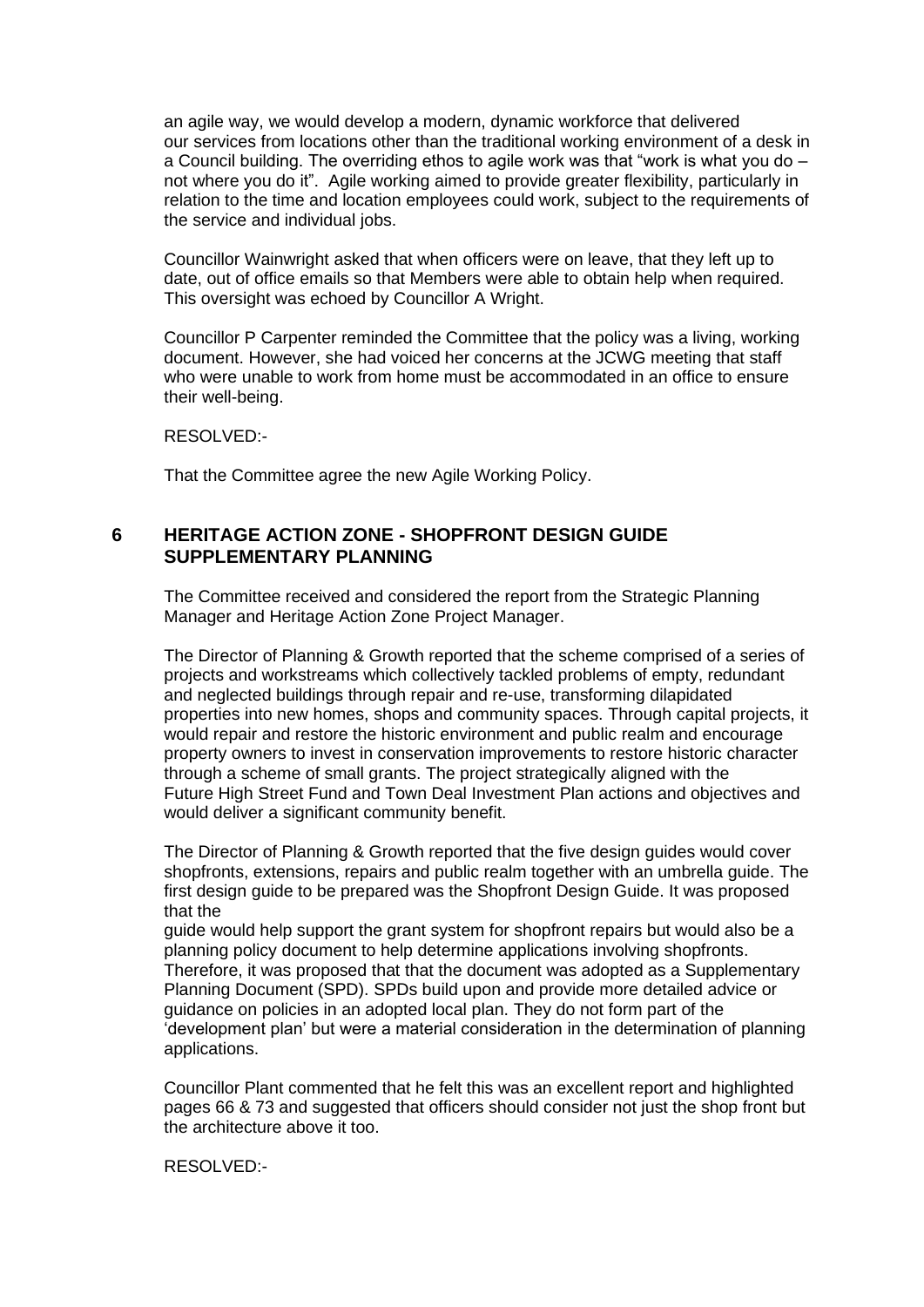an agile way, we would develop a modern, dynamic workforce that delivered our services from locations other than the traditional working environment of a desk in a Council building. The overriding ethos to agile work was that "work is what you do – not where you do it". Agile working aimed to provide greater flexibility, particularly in relation to the time and location employees could work, subject to the requirements of the service and individual jobs.

Councillor Wainwright asked that when officers were on leave, that they left up to date, out of office emails so that Members were able to obtain help when required. This oversight was echoed by Councillor A Wright.

Councillor P Carpenter reminded the Committee that the policy was a living, working document. However, she had voiced her concerns at the JCWG meeting that staff who were unable to work from home must be accommodated in an office to ensure their well-being.

RESOLVED:-

That the Committee agree the new Agile Working Policy.

#### **6 HERITAGE ACTION ZONE - SHOPFRONT DESIGN GUIDE SUPPLEMENTARY PLANNING**

The Committee received and considered the report from the Strategic Planning Manager and Heritage Action Zone Project Manager.

The Director of Planning & Growth reported that the scheme comprised of a series of projects and workstreams which collectively tackled problems of empty, redundant and neglected buildings through repair and re-use, transforming dilapidated properties into new homes, shops and community spaces. Through capital projects, it would repair and restore the historic environment and public realm and encourage property owners to invest in conservation improvements to restore historic character through a scheme of small grants. The project strategically aligned with the Future High Street Fund and Town Deal Investment Plan actions and objectives and would deliver a significant community benefit.

The Director of Planning & Growth reported that the five design guides would cover shopfronts, extensions, repairs and public realm together with an umbrella guide. The first design guide to be prepared was the Shopfront Design Guide. It was proposed that the

guide would help support the grant system for shopfront repairs but would also be a planning policy document to help determine applications involving shopfronts. Therefore, it was proposed that that the document was adopted as a Supplementary Planning Document (SPD). SPDs build upon and provide more detailed advice or guidance on policies in an adopted local plan. They do not form part of the 'development plan' but were a material consideration in the determination of planning applications.

Councillor Plant commented that he felt this was an excellent report and highlighted pages 66 & 73 and suggested that officers should consider not just the shop front but the architecture above it too.

RESOLVED:-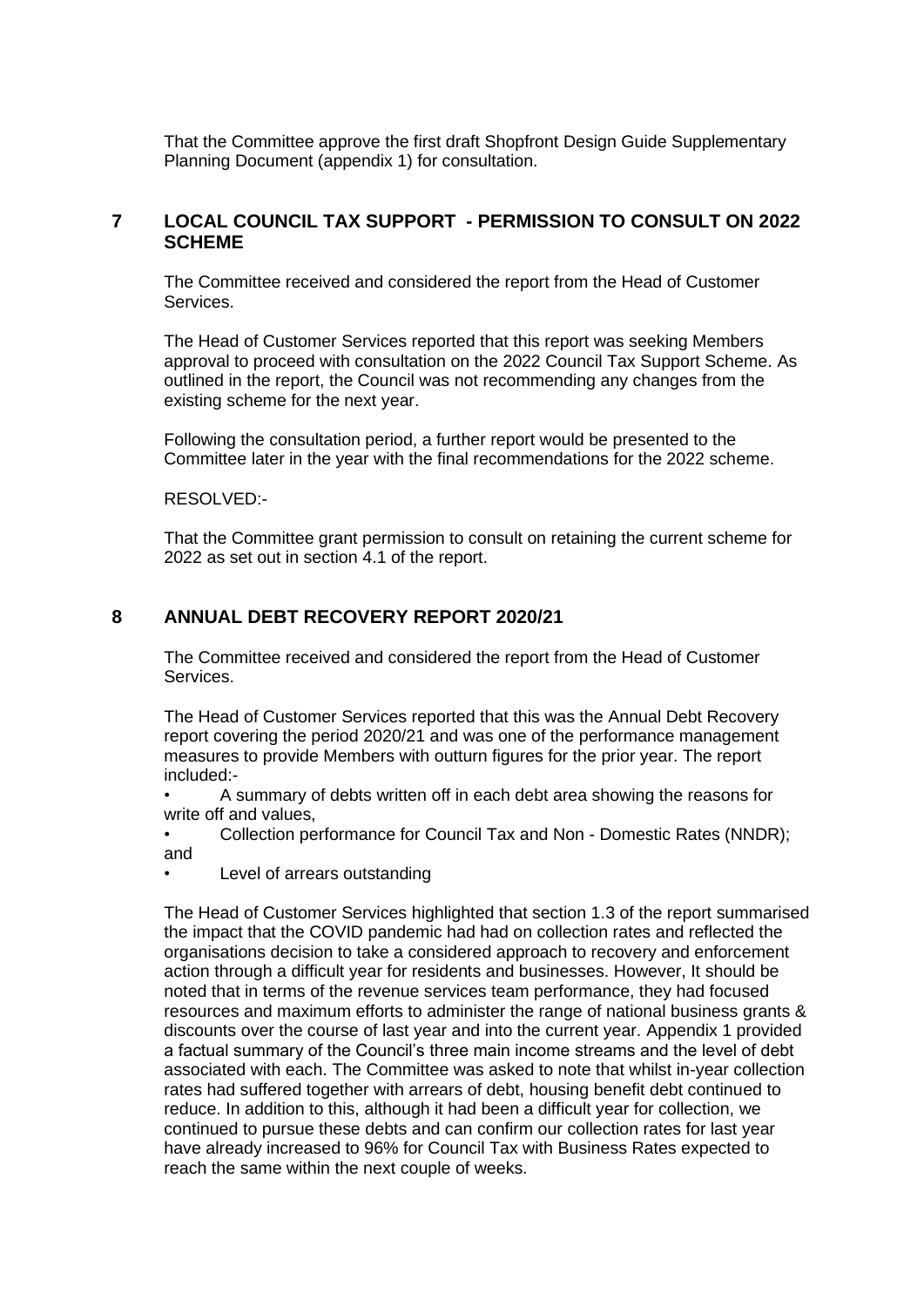That the Committee approve the first draft Shopfront Design Guide Supplementary Planning Document (appendix 1) for consultation.

#### **7 LOCAL COUNCIL TAX SUPPORT - PERMISSION TO CONSULT ON 2022 SCHEME**

The Committee received and considered the report from the Head of Customer Services.

The Head of Customer Services reported that this report was seeking Members approval to proceed with consultation on the 2022 Council Tax Support Scheme. As outlined in the report, the Council was not recommending any changes from the existing scheme for the next year.

Following the consultation period, a further report would be presented to the Committee later in the year with the final recommendations for the 2022 scheme.

RESOLVED:-

That the Committee grant permission to consult on retaining the current scheme for 2022 as set out in section 4.1 of the report.

#### **8 ANNUAL DEBT RECOVERY REPORT 2020/21** 8

The Committee received and considered the report from the Head of Customer Services.

The Head of Customer Services reported that this was the Annual Debt Recovery report covering the period 2020/21 and was one of the performance management measures to provide Members with outturn figures for the prior year. The report included:-

• A summary of debts written off in each debt area showing the reasons for write off and values,

• Collection performance for Council Tax and Non - Domestic Rates (NNDR); and

Level of arrears outstanding

The Head of Customer Services highlighted that section 1.3 of the report summarised the impact that the COVID pandemic had had on collection rates and reflected the organisations decision to take a considered approach to recovery and enforcement action through a difficult year for residents and businesses. However, It should be noted that in terms of the revenue services team performance, they had focused resources and maximum efforts to administer the range of national business grants & discounts over the course of last year and into the current year. Appendix 1 provided a factual summary of the Council's three main income streams and the level of debt associated with each. The Committee was asked to note that whilst in-year collection rates had suffered together with arrears of debt, housing benefit debt continued to reduce. In addition to this, although it had been a difficult year for collection, we continued to pursue these debts and can confirm our collection rates for last year have already increased to 96% for Council Tax with Business Rates expected to reach the same within the next couple of weeks.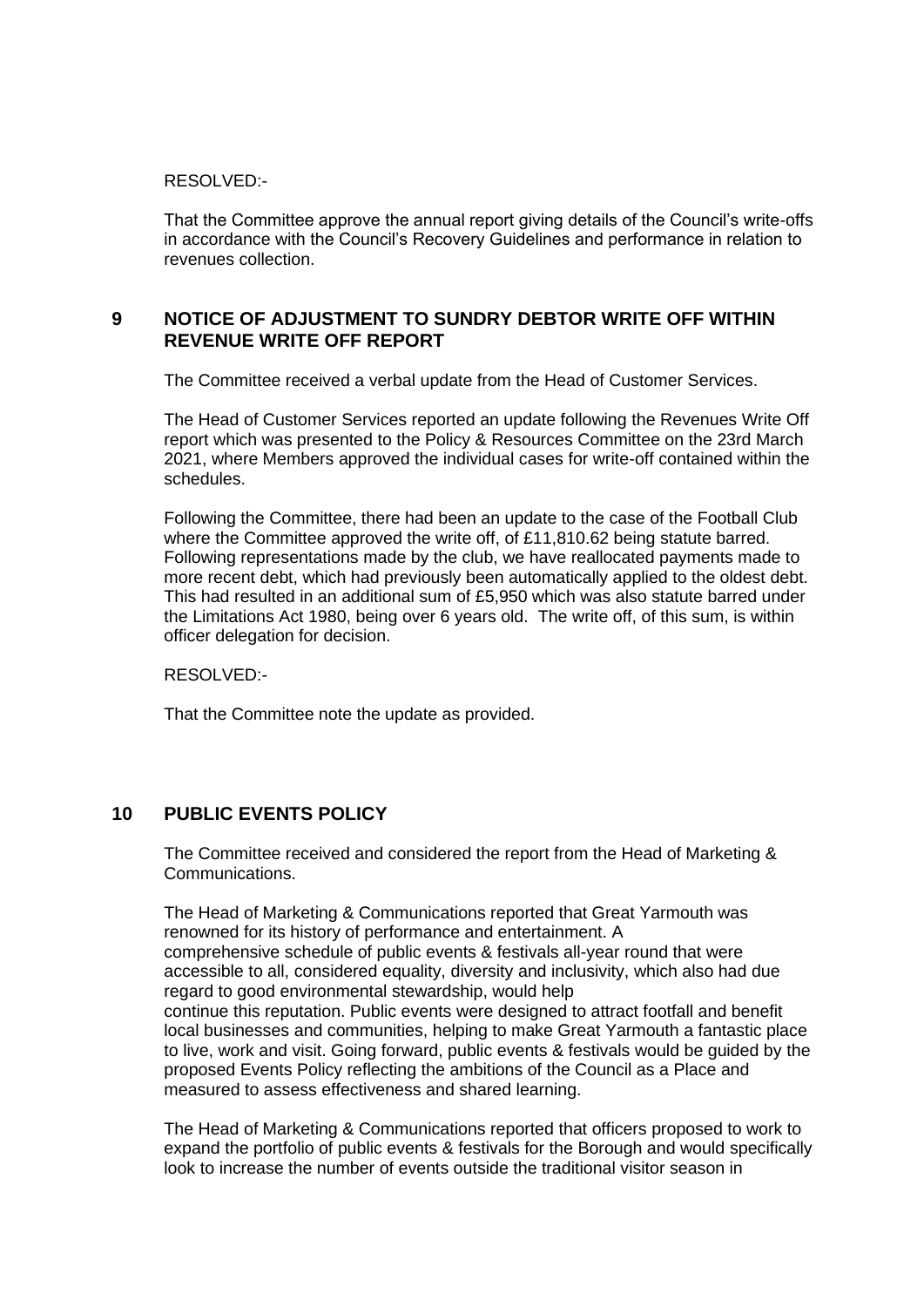RESOLVED:-

That the Committee approve the annual report giving details of the Council's write-offs in accordance with the Council's Recovery Guidelines and performance in relation to revenues collection.

### **9 NOTICE OF ADJUSTMENT TO SUNDRY DEBTOR WRITE OFF WITHIN REVENUE WRITE OFF REPORT**

The Committee received a verbal update from the Head of Customer Services.

The Head of Customer Services reported an update following the Revenues Write Off report which was presented to the Policy & Resources Committee on the 23rd March 2021, where Members approved the individual cases for write-off contained within the schedules.

Following the Committee, there had been an update to the case of the Football Club where the Committee approved the write off, of £11,810.62 being statute barred. Following representations made by the club, we have reallocated payments made to more recent debt, which had previously been automatically applied to the oldest debt. This had resulted in an additional sum of £5,950 which was also statute barred under the Limitations Act 1980, being over 6 years old. The write off, of this sum, is within officer delegation for decision.

RESOLVED:-

That the Committee note the update as provided.

#### **10 PUBLIC EVENTS POLICY**

The Committee received and considered the report from the Head of Marketing & Communications.

The Head of Marketing & Communications reported that Great Yarmouth was renowned for its history of performance and entertainment. A comprehensive schedule of public events & festivals all-year round that were accessible to all, considered equality, diversity and inclusivity, which also had due regard to good environmental stewardship, would help continue this reputation. Public events were designed to attract footfall and benefit local businesses and communities, helping to make Great Yarmouth a fantastic place to live, work and visit. Going forward, public events & festivals would be guided by the proposed Events Policy reflecting the ambitions of the Council as a Place and measured to assess effectiveness and shared learning.

The Head of Marketing & Communications reported that officers proposed to work to expand the portfolio of public events & festivals for the Borough and would specifically look to increase the number of events outside the traditional visitor season in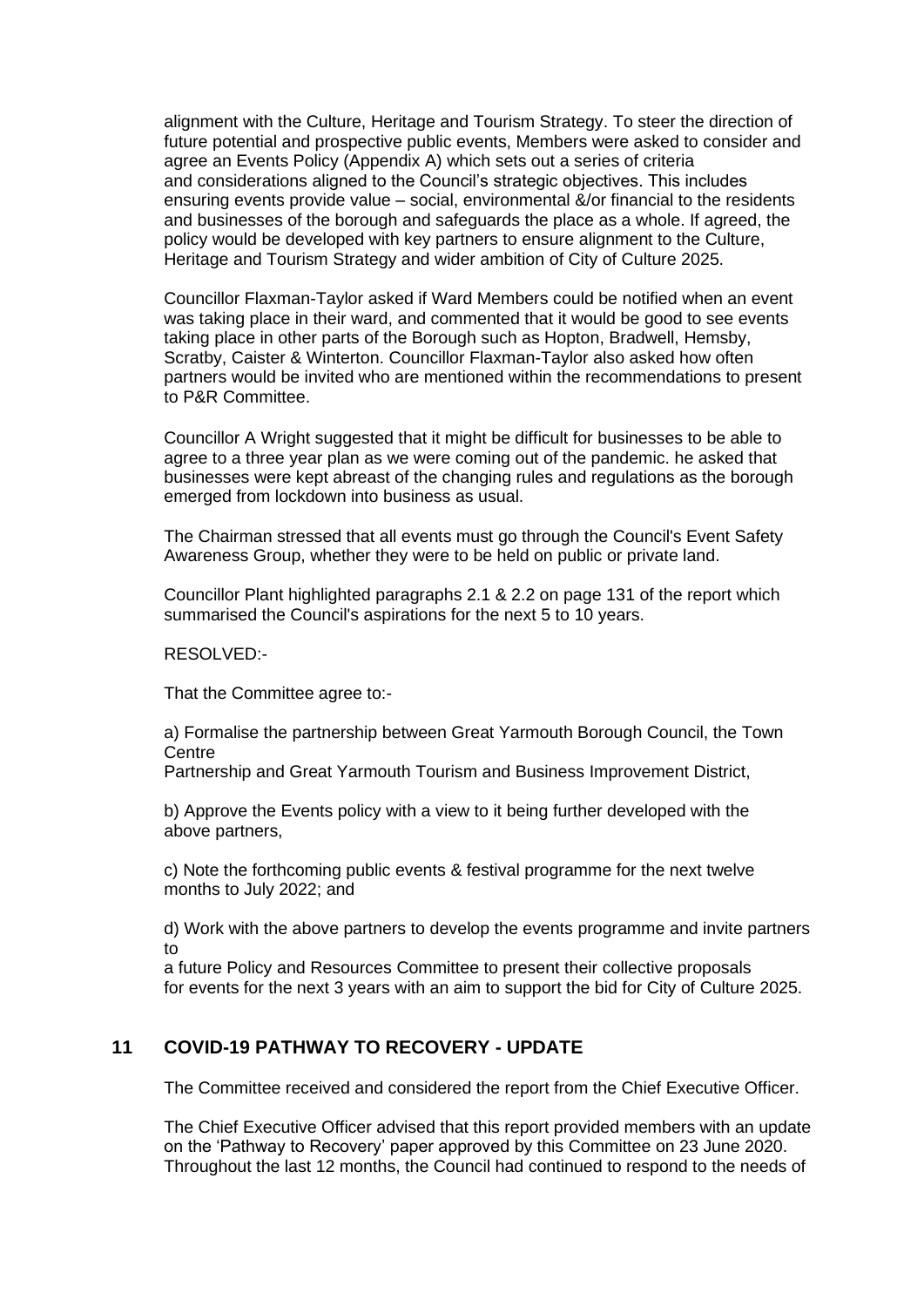alignment with the Culture, Heritage and Tourism Strategy. To steer the direction of future potential and prospective public events, Members were asked to consider and agree an Events Policy (Appendix A) which sets out a series of criteria and considerations aligned to the Council's strategic objectives. This includes ensuring events provide value – social, environmental &/or financial to the residents and businesses of the borough and safeguards the place as a whole. If agreed, the policy would be developed with key partners to ensure alignment to the Culture, Heritage and Tourism Strategy and wider ambition of City of Culture 2025.

Councillor Flaxman-Taylor asked if Ward Members could be notified when an event was taking place in their ward, and commented that it would be good to see events taking place in other parts of the Borough such as Hopton, Bradwell, Hemsby, Scratby, Caister & Winterton. Councillor Flaxman-Taylor also asked how often partners would be invited who are mentioned within the recommendations to present to P&R Committee.

Councillor A Wright suggested that it might be difficult for businesses to be able to agree to a three year plan as we were coming out of the pandemic. he asked that businesses were kept abreast of the changing rules and regulations as the borough emerged from lockdown into business as usual.

The Chairman stressed that all events must go through the Council's Event Safety Awareness Group, whether they were to be held on public or private land.

Councillor Plant highlighted paragraphs 2.1 & 2.2 on page 131 of the report which summarised the Council's aspirations for the next 5 to 10 years.

RESOLVED:-

That the Committee agree to:-

a) Formalise the partnership between Great Yarmouth Borough Council, the Town **Centre** 

Partnership and Great Yarmouth Tourism and Business Improvement District,

b) Approve the Events policy with a view to it being further developed with the above partners,

c) Note the forthcoming public events & festival programme for the next twelve months to July 2022; and

d) Work with the above partners to develop the events programme and invite partners to

a future Policy and Resources Committee to present their collective proposals for events for the next 3 years with an aim to support the bid for City of Culture 2025.

### **11 COVID-19 PATHWAY TO RECOVERY - UPDATE** 11

The Committee received and considered the report from the Chief Executive Officer.

The Chief Executive Officer advised that this report provided members with an update on the 'Pathway to Recovery' paper approved by this Committee on 23 June 2020. Throughout the last 12 months, the Council had continued to respond to the needs of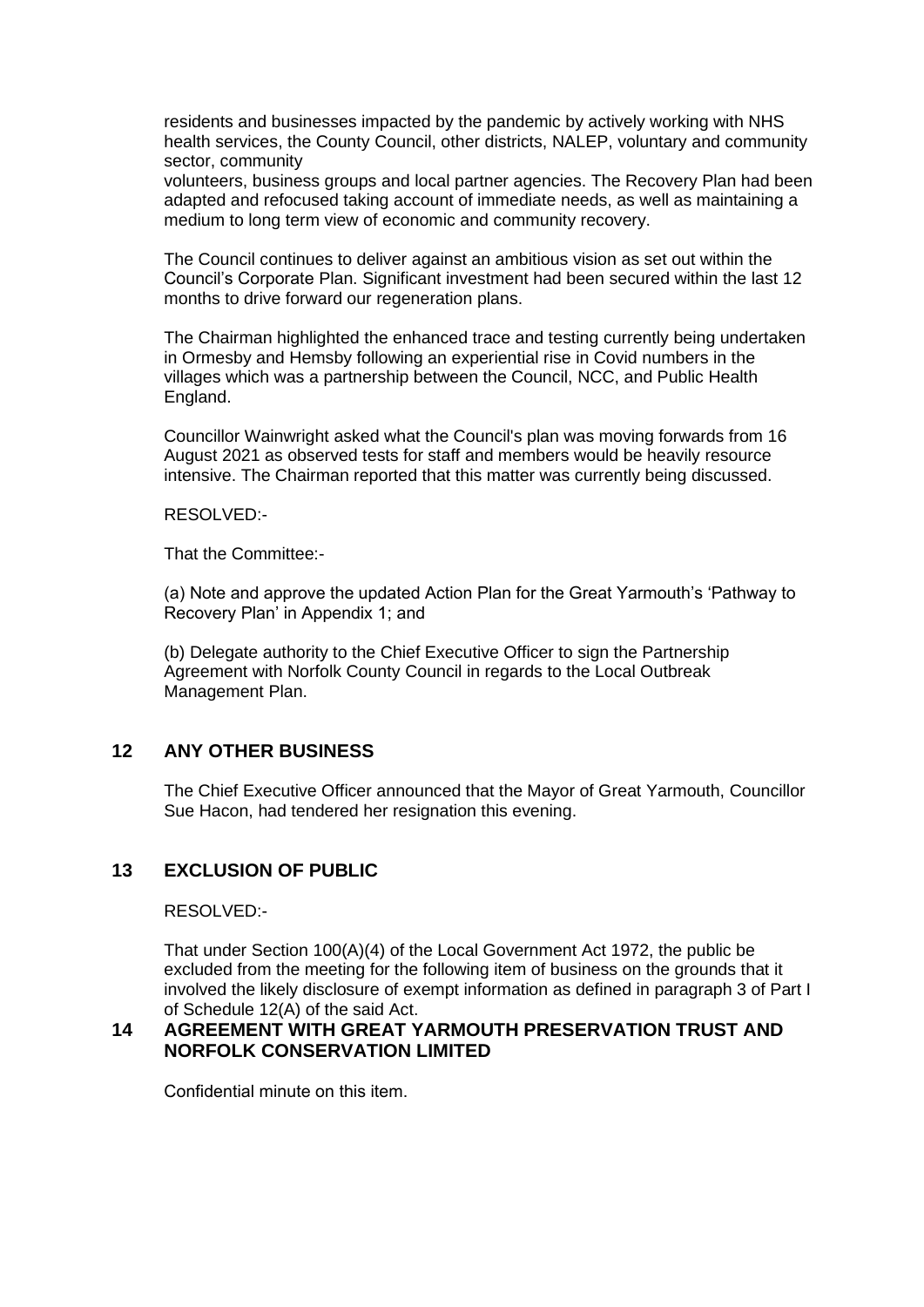residents and businesses impacted by the pandemic by actively working with NHS health services, the County Council, other districts, NALEP, voluntary and community sector, community

volunteers, business groups and local partner agencies. The Recovery Plan had been adapted and refocused taking account of immediate needs, as well as maintaining a medium to long term view of economic and community recovery.

The Council continues to deliver against an ambitious vision as set out within the Council's Corporate Plan. Significant investment had been secured within the last 12 months to drive forward our regeneration plans.

The Chairman highlighted the enhanced trace and testing currently being undertaken in Ormesby and Hemsby following an experiential rise in Covid numbers in the villages which was a partnership between the Council, NCC, and Public Health England.

Councillor Wainwright asked what the Council's plan was moving forwards from 16 August 2021 as observed tests for staff and members would be heavily resource intensive. The Chairman reported that this matter was currently being discussed.

RESOLVED:-

That the Committee:-

(a) Note and approve the updated Action Plan for the Great Yarmouth's 'Pathway to Recovery Plan' in Appendix 1; and

(b) Delegate authority to the Chief Executive Officer to sign the Partnership Agreement with Norfolk County Council in regards to the Local Outbreak Management Plan.

#### **12 ANY OTHER BUSINESS**

The Chief Executive Officer announced that the Mayor of Great Yarmouth, Councillor Sue Hacon, had tendered her resignation this evening.

#### **13 EXCLUSION OF PUBLIC**

RESOLVED:-

That under Section 100(A)(4) of the Local Government Act 1972, the public be excluded from the meeting for the following item of business on the grounds that it involved the likely disclosure of exempt information as defined in paragraph 3 of Part I of Schedule 12(A) of the said Act.

#### **14 AGREEMENT WITH GREAT YARMOUTH PRESERVATION TRUST AND NORFOLK CONSERVATION LIMITED**

Confidential minute on this item.